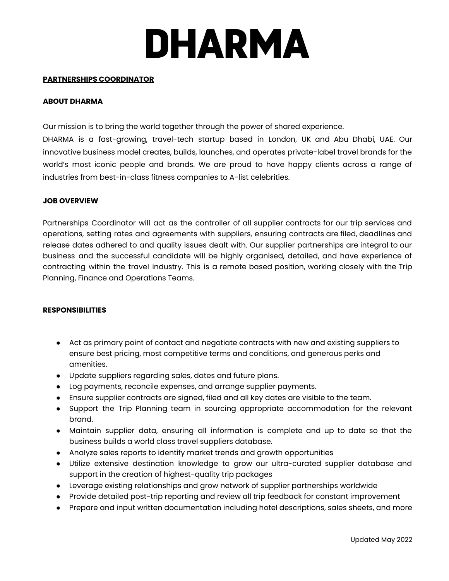# **DHARMA**

### **PARTNERSHIPS COORDINATOR**

### **ABOUT DHARMA**

Our mission is to bring the world together through the power of shared experience.

DHARMA is a fast-growing, travel-tech startup based in London, UK and Abu Dhabi, UAE. Our innovative business model creates, builds, launches, and operates private-label travel brands for the world's most iconic people and brands. We are proud to have happy clients across a range of industries from best-in-class fitness companies to A-list celebrities.

### **JOB OVERVIEW**

Partnerships Coordinator will act as the controller of all supplier contracts for our trip services and operations, setting rates and agreements with suppliers, ensuring contracts are filed, deadlines and release dates adhered to and quality issues dealt with. Our supplier partnerships are integral to our business and the successful candidate will be highly organised, detailed, and have experience of contracting within the travel industry. This is a remote based position, working closely with the Trip Planning, Finance and Operations Teams.

## **RESPONSIBILITIES**

- Act as primary point of contact and negotiate contracts with new and existing suppliers to ensure best pricing, most competitive terms and conditions, and generous perks and amenities.
- Update suppliers regarding sales, dates and future plans.
- Log payments, reconcile expenses, and arrange supplier payments.
- Ensure supplier contracts are signed, filed and all key dates are visible to the team.
- Support the Trip Planning team in sourcing appropriate accommodation for the relevant brand.
- Maintain supplier data, ensuring all information is complete and up to date so that the business builds a world class travel suppliers database.
- Analyze sales reports to identify market trends and growth opportunities
- Utilize extensive destination knowledge to grow our ultra-curated supplier database and support in the creation of highest-quality trip packages
- Leverage existing relationships and grow network of supplier partnerships worldwide
- Provide detailed post-trip reporting and review all trip feedback for constant improvement
- Prepare and input written documentation including hotel descriptions, sales sheets, and more